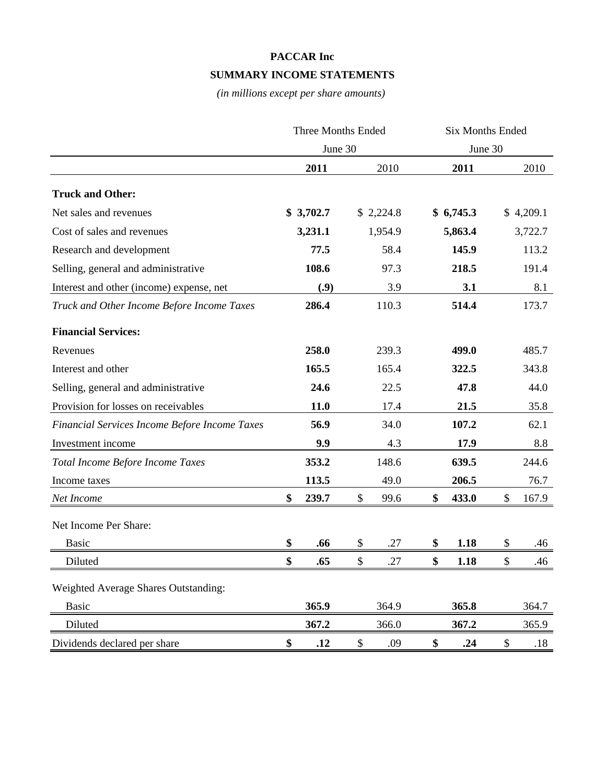## **PACCAR Inc**

#### **SUMMARY INCOME STATEMENTS**

*(in millions except per share amounts)*

|                                               | <b>Three Months Ended</b> |           | <b>Six Months Ended</b> |         |           |    |           |  |
|-----------------------------------------------|---------------------------|-----------|-------------------------|---------|-----------|----|-----------|--|
|                                               |                           | June 30   |                         | June 30 |           |    |           |  |
|                                               |                           | 2011      | 2010                    |         | 2011      |    | 2010      |  |
| <b>Truck and Other:</b>                       |                           |           |                         |         |           |    |           |  |
| Net sales and revenues                        |                           | \$3,702.7 | \$2,224.8               |         | \$6,745.3 |    | \$4,209.1 |  |
| Cost of sales and revenues                    |                           | 3,231.1   | 1,954.9                 |         | 5,863.4   |    | 3,722.7   |  |
| Research and development                      |                           | 77.5      | 58.4                    |         | 145.9     |    | 113.2     |  |
| Selling, general and administrative           |                           | 108.6     | 97.3                    |         | 218.5     |    | 191.4     |  |
| Interest and other (income) expense, net      |                           | (0.9)     | 3.9                     |         | 3.1       |    | 8.1       |  |
| Truck and Other Income Before Income Taxes    |                           | 286.4     | 110.3                   |         | 514.4     |    | 173.7     |  |
| <b>Financial Services:</b>                    |                           |           |                         |         |           |    |           |  |
| Revenues                                      |                           | 258.0     | 239.3                   |         | 499.0     |    | 485.7     |  |
| Interest and other                            |                           | 165.5     | 165.4                   |         | 322.5     |    | 343.8     |  |
| Selling, general and administrative           |                           | 24.6      | 22.5                    |         | 47.8      |    | 44.0      |  |
| Provision for losses on receivables           |                           | 11.0      | 17.4                    |         | 21.5      |    | 35.8      |  |
| Financial Services Income Before Income Taxes |                           | 56.9      | 34.0                    |         | 107.2     |    | 62.1      |  |
| Investment income                             |                           | 9.9       | 4.3                     |         | 17.9      |    | 8.8       |  |
| Total Income Before Income Taxes              |                           | 353.2     | 148.6                   |         | 639.5     |    | 244.6     |  |
| Income taxes                                  |                           | 113.5     | 49.0                    |         | 206.5     |    | 76.7      |  |
| Net Income                                    | \$                        | 239.7     | \$<br>99.6              | \$      | 433.0     | \$ | 167.9     |  |
| Net Income Per Share:                         |                           |           |                         |         |           |    |           |  |
| <b>Basic</b>                                  | \$                        | .66       | \$<br>.27               | \$      | 1.18      | \$ | .46       |  |
| Diluted                                       | \$                        | .65       | \$<br>.27               | \$      | 1.18      | \$ | .46       |  |
| <b>Weighted Average Shares Outstanding:</b>   |                           |           |                         |         |           |    |           |  |
| <b>Basic</b>                                  |                           | 365.9     | 364.9                   |         | 365.8     |    | 364.7     |  |
| Diluted                                       |                           | 367.2     | 366.0                   |         | 367.2     |    | 365.9     |  |
| Dividends declared per share                  | \$                        | .12       | \$<br>.09               | \$      | .24       | \$ | .18       |  |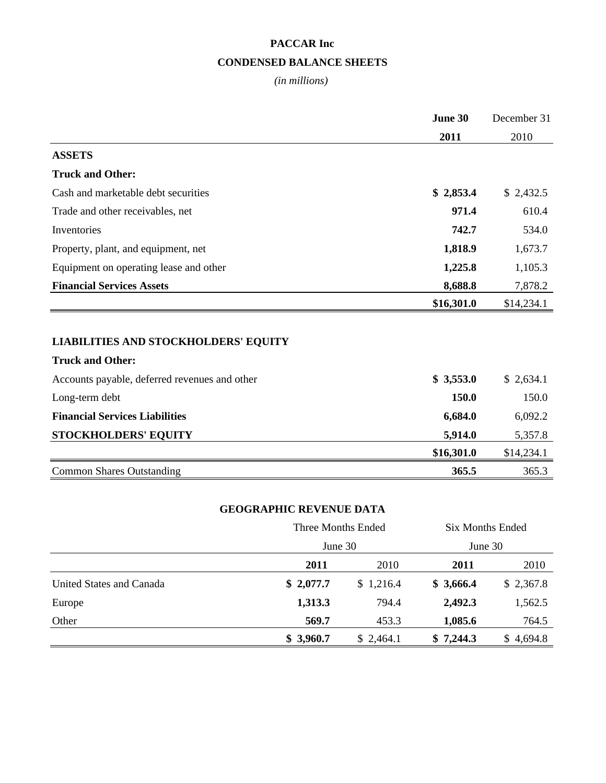# **PACCAR Inc CONDENSED BALANCE SHEETS**

#### *(in millions)*

|                                               | June 30    | December 31 |  |
|-----------------------------------------------|------------|-------------|--|
|                                               | 2011       | 2010        |  |
| <b>ASSETS</b>                                 |            |             |  |
| <b>Truck and Other:</b>                       |            |             |  |
| Cash and marketable debt securities           | \$2,853.4  | \$2,432.5   |  |
| Trade and other receivables, net              | 971.4      | 610.4       |  |
| Inventories                                   | 742.7      | 534.0       |  |
| Property, plant, and equipment, net           | 1,818.9    | 1,673.7     |  |
| Equipment on operating lease and other        | 1,225.8    | 1,105.3     |  |
| <b>Financial Services Assets</b>              | 8,688.8    | 7,878.2     |  |
|                                               | \$16,301.0 | \$14,234.1  |  |
|                                               |            |             |  |
| <b>LIABILITIES AND STOCKHOLDERS' EQUITY</b>   |            |             |  |
| <b>Truck and Other:</b>                       |            |             |  |
| Accounts payable, deferred revenues and other | \$3,553.0  | \$2,634.1   |  |
| Long-term debt                                | 150.0      | 150.0       |  |
| <b>Financial Services Liabilities</b>         | 6,684.0    | 6,092.2     |  |
| <b>STOCKHOLDERS' EQUITY</b>                   | 5,914.0    | 5,357.8     |  |
|                                               | \$16,301.0 | \$14,234.1  |  |
| <b>Common Shares Outstanding</b>              | 365.5      | 365.3       |  |
|                                               |            |             |  |

## **GEOGRAPHIC REVENUE DATA**

|                          | Three Months Ended |           | <b>Six Months Ended</b> |           |  |
|--------------------------|--------------------|-----------|-------------------------|-----------|--|
|                          |                    | June 30   |                         | June 30   |  |
|                          | 2011               | 2010      | 2011                    | 2010      |  |
| United States and Canada | \$2,077.7          | \$1,216.4 | \$3,666.4               | \$2,367.8 |  |
| Europe                   | 1,313.3            | 794.4     | 2,492.3                 | 1,562.5   |  |
| Other                    | 569.7              | 453.3     | 1,085.6                 | 764.5     |  |
|                          | \$3,960.7          | \$2,464.1 | \$7,244.3               | \$4,694.8 |  |